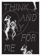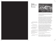Planned **Obsolescence** by Jack Clarke



*"I love how millennials are associated with avocado toast and selfies instead of the fact that we all constantly joke about wanting to die."* 2

It has been clear to archaeologists, ever since unearthing the Necropolis late into the 16th Century, that those who did not flee the city of Pompeii in 79AD perished in an event of seismic proportions. However, as excavators worked over the centuries to uncover human remains, they noticed that the skeletons were surrounded by voids in the compacted ash – in the mid 1800's this realisation lead excavators to discover that by carefully pouring plaster into these spaces, the final poses, clothing, and faces of the last residents of Pompeii can 'come to life.'

Dr. Pliny, an Italian psychogeologist specialising in poromechanics, has been working with these material witnesses 3 since excavations resumed in early 2018. Following new funding from the United Nations Educational, Scientific and Cultural Organization (UNESCO) Dr. Pliny and a small team of researchers at the International Therolingustics Association 4 have begun to execute a new, experimental procedure of psychographic material analysis. Their work on site begins from the basic premise that:

*"For every inconsistency on the surface, there is a subterranean consistency."* 5

In their new method of analysis, the plot of land (or plaster) that Dr. Pliny and his team have been given to work on and the plot of Pompeii as a narrativised

<sup>1</sup>*Dyer, Pompeii. Its History, Buildings and Antiquities (Bell, 1887), 476*

4  *Le Guin, The Author of the from the Journal of and Other Animal Presences, Plume, 1974),167*

5  *Negarestani, Cyclonopedia (re.press, 2008), 53* 

2  *Leah Williams, https:// twitter.com/mymonsterischic/*



*Acacia Seeds and Other Extracts Therolinguistics (in Buffalo Gals*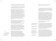psychosocial event cannot be separated – in both domains they are simply looking for inconsistencies, or plot holes:

*"...the main plot is the map or the concentration blueprint of plot holes (the other plots). Every hole is a footprint left by at least one more plot, prowling underneath."*<sup>6</sup>

Since beginning this process of excavation, Dr. Pliny and his colleagues have realised that their previous issues were simply deficiencies in resolution. When excavation commenced in 1748, the resolution of the blueprint that Carlo di Borbone had operated within lay at around 1km<sup>2</sup> – at this resolution, plot features such as the town structure were not even yet visible. However, over the last 200 years, the available resolution has steadily increased with the help of improved technology and, most recently, cybergothic methods of excavation and analysis. Now, Dr. Pliny is able to worm his way into the pores and secretory cavities of victims buried millennia ago, making observations of the cast reliefs directly at a fidelity of as little as  $17 \mu m^2$ .

This increased resolution is invaluable in Pliny's work, as he is psychoanalysing the inorganic matter of the unconscious itself. In recent interviews he has attributed the inspiration for this ground-breaking psychoarchaeological approach to the late Mark Fisher:

*"There is a death drive, which in its most radical formulation is not a drive towards death, but a drive of death. The inorganic is the impersonal pilot of everything, including that which seems to be personal and organic. Seen from the perspective of Thanatos, we ourselves become an exemplary case of the eerie: there is an agency at work in us (the unconscious, the death drive), but it is not where or what we expected it to be."*<sup>7</sup>

<sup>6</sup>*Ibid., 61* 

7  *Fisher, The Weird and the Eerie (Repeater Books, 2016), 85 – in Greek mythology,*  Thanatos *was the personification of death.*

By exploring this understanding of Thanatos and elaborating an approach with the assistance of the geolinguists at the International Therolingustics Association, Pliny has been able to divine and translate fragments of unconscious material from the plaster casts. The fragmented audible results are shocking, somewhere between unspeakable groans and inhuman chattering, the team managed to map together a few unconjugated

scraps and even a whole sentence: *"Qui me calcas, calcaberis, et tu, id cogita et ora pro me."*<sup>8</sup>

\*\*

*"Now and then, as in the case of the helicopter, with its unstable, insect-like obsessiveness, we can see clearly the deep hostility of the mineral world. We are lucky that the organic realm reached the foot of the evolutionary ladder before the inorganic."*<sup>9</sup>

When a market becomes more competitive, product life-spans tend to increase. When Japanese vehicles with longer lifespans entered the American market in the 1960s and 1970s, American carmakers were forced to respond by building more durable products.10 Coincidentally – or perhaps accordingly – the British author J.G. Ballard was also investigating such a symphorophilic† relationship between automobiles and life-spans during the 1970's; a research project culminating in the publication of his now infamous experimental fiction The Atrocity Exhibition (1970) and the equally controversial Crash (1973).

In a brief introduction to *The Atrocity Exhibition*, William Burroughs observes:

<sup>8</sup>*Roughly translated:* He who treads on me, will be trodden. You, think and pray for me.

<sup>9</sup>*Ballard, Atrocity Exhibition (Fourth Estate, 2014), 38*

<sup>10</sup>*https://en.wikipedia.org/ wiki/Planned\_obsolescence*

†*Symphorophilia is a paraphilia in which sexual arousal involves staging and watching a tragedy, such as a fire or a traffic accident.*

<sup>11</sup>*Burroughs in Ballard, Atrocity Exhibition, ix*

*"The line between inner and outer landscapes is breaking down. Earthquakes can result from seismic upheavals within the human mind. The whole random universe of the industrial age is breaking down into cryptic fragments: "In a waste lot of wrecked cars he found the burnt body of the white Pontiac, the nasal prepuce of LBJ, crashed helicopters, Eichmann in drag, a dead child . . ."* The human body becomes landscape*…"*<sup>11</sup>

In the demise of pre-modern Pompeii one can see a precursor to this conceptual image of 'the body as landscape' – the figures, faces, expressions and desires of a city compressed, decomposed and unwillingly etched into an impersonal terrain. Here, the barriers between inner and outer – organic and inorganic – become disinhibited, compounded and muddied. For Burroughs and Ballard in the 'industrial age' however, such apocalyptic imagery arrives instead through the lurid figures of hyper-capitalist sexualisation of political, economic and cultural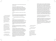chieftains, the glut of trivialised images depicting murder and destruction.

In this prophetic reading, the waste-lot of the Anthropocene is rendered visible at the sunbleached intersection between Thanatos, capital and the Earth. If the apocalyptic annihilation of Pompeii arrived from the inorganic 'without', the fate of our industrial-capitalist age is proactively produced from the inorganic drive 'within'<sup>12</sup>:

*"[t]he death of capital is less a prophecy than a machine part."*<sup>13</sup>

Here, the cybernetic features of an ostensibly free market come into play, as agencies of all kinds (human, inhuman, corporate, natural) descend on the asphalt plot;

*"...the hint of death is present in every biological circuit."*<sup>14</sup>

Feedback loops, such as the supposed tendency for competitive markets to produce longer product life-spans, begin to proliferate without the need for human intervention, in fact they actively preclude it. Increasingly competitive labour markets result in shorter life-spans as workers are progressively locked out of the means of survival.

Moving away from the automobiles – into a distinctly post-Fordist era of production and precarity Franco 'Bifo' Berardi observes:

*"When the production of goods is turned into information, and the network becomes the sphere of recombination of productive actions which take place in distant spaces and moments of time – the capitalist's need to buy the whole of the worker's lifetime ends – he just needs fragments of time. The networked machine ceaselessly picks up and recombines fragments of info-time from the ocean of social life and intelligence. Thus, precariousness invades every space of social life, and permeates the expectations and the emotions of individuals, whose time is fragmented, fractalized, cellularized."*<sup>15</sup>

Problems of agency (economic, political, educational; human, nonhuman) become problems of time. Whether fascist: *Make America Great Again!* neoliberal: *Keep Calm and Carry On!* or anarchistic: *No Future!* these slogans all represent a time-crisis. A crisis, the symptom of which manifests itself in an abstract desire for time in a system under which a sense of futurity has collapsed. This is a direct result of the technological apparatus that Berardi describes as the 'networked machine': a timemachine built to facilitate and construct 'productive' compulsions in lieu of meaningful communications: the impersonal death drive, the 'electro-libidinal parasite'16, the 'eerie pilot of everything' virtually renders itself in (cyber)space – in spite of Ballard's prophetic warning – the inorganic leaps to the apex of the evolutionary ladder.

*"Everything is becoming science fiction. From the margins of an almost invisible literature has sprung the intact reality of the 20th century."*<sup>17</sup>

Through this understanding it is clear that the human is complicit in, and a catalyst of, its own obsolescence. The spirit of entrepreneurialism, so revered in neoliberal discourse, serves to accelerate a process of anthropocentric discontinuation . If *"capital is a social suicide machine, it is because it is compelled to advantage its assassins"*18, then time is running amok, shorting, spiraling inward.

\*\*

<sup>16</sup>*http://www.virtualfutures. co.uk/discover/no-time/* 

<sup>17</sup>*Ballard, Fictions of Every Kind (Books and Bookmen 1971)*

<sup>18</sup>*B"Capital produces the first sociality in which the pouvoir (political power) of dominance is perpetually submitted to the hazard of experimental puissance (physical strength)." Land, Making it with Death, 265*

*always rises from within, but that must arrive from without – and that, in the case of capitalism, rises with all the more power as one still fails to see exactly what this outside is that will cause it to arrive?" Deleuze & Guattari, Anti Oedipus (Bloomsbury, 2013), 301* 

<sup>12</sup>*And what is this death that* 

<sup>13</sup>*Land, Making it with Death (in Fanged Noumena, Urbanomic, 2012), 266 – for further reading on Land – and the problems with his more recent work – listen to Mark Fisher's, Anti-Vital, http://www. openschooleast.org/the-badvibes-club-presents-mark-fisheranti-vital/* 

<sup>14</sup>*Bateson in Plant, Zeros + Ones (Fourth Estate, 1998), 162*

<sup>15</sup>*Berardi, Heroes: Mass Murder and Suicide (Verso, 2015), 203 – [emphasis my own]*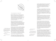

19

*'You can lean against us, we're quite real"*<sup>19</sup>

Rosie Grace Ward's work is, in a similar sense, a timemachine – not in the sense that one could jump in and 'travel' to Ancient Rome – but in the sense that it 'machines' time; the work works with time, enters into a machinic relationship with time itself, treating it as raw material. In short, it functions via an explicitly *"cybergothic methodology – disinterring the present in the relics of the Deep Past…"20* 

Ward's work manifests itself in a particular kind of 'time-space' and arrives there via this peculiar methodology, one in which time has been collapsed back in on itself – huddled in a corner muttering maddening incantations over and over. Spiralling, folding inward it has assumed a primeval, foetal posture (in death, in life and the madness in-between).

<sup>18</sup>*Foetal: denoting a posture characteristic of a fetus, with the back curved forwards and the limbs folded in front of the body. Diagram by Jack Clarke*

<sup>19</sup>*Ballard, Unlimited Dream Company (1979)* 

<sup>20</sup>*Fisher, The Weird and the Eerie, 89*

The figure of the voided corpse, crouched in a foetal pose and cast in plaster over 1000 years after its initial demise, becomes emblematic of Ward's work: ancient, idyllic agricultural landscapes are cut with the blades of future warlords; clinically bureaucratic office-spaces become involuntarily spliced with a body of coagulated blood, spilt on an altar to some anonymous, violent logotype. This is an archaeology – an exhumation or conjuration – of every temporal axis, excavating artefacts that break down any notion of an internal/external division

The dreams, desires and nightmares of agents spread across millenia coalesce in the gallery space. Here again we encounter the haunting image of Ballard's atrocious, unchaste capitalist landscapes. However, instead of the hyper-erotic images aroused from a recent sexual revolution, Ward's time-space garners the brands of a decaying planet, stratifying them through the infrastructure of an impersonal, insane, neoliberal cityscape.

*"Cyberspace. A consensual hallucination experienced daily by billions of legitimate operators, in every nation, by children being taught mathematical concepts... A graphic representation of data abstracted from banks of every computer in the human system. Unthinkable complexity. Lines of light ranged in the nonspace of the mind, clusters and constellations of data. Like city lights, receding..."*<sup>21</sup>

Berardi's 'networked (time-)machine', at once an agent and a hallucination<sup>22</sup>, seeps out into the 'real world' – infecting the various plots (both earthly and narrative) entangled throughout space-time with its own logic of productivity and accumulation. Here, the woeful obsolescence, the foetal impotence of the human appears clearer than ever.

\*\*

However, for such an inhuman, impersonal area of investigation Ward seems intent on staying with the human, for better or for worse, in life or in death, use or disuse – both as inorganic artefact and organic ally. A belief in the potential capacities of the human (and its kind) is evident in the excessively ritualistic artefacts and situations that Ward's work seeks to map out: agricultural tools ornamented with sacrificial offerings of pearls and blood; massive, looming graveyards at once haunting in their morbidity and humane in their injunction to remembrance.

<sup>21</sup>*Gibson, Neuromancer (Voyager, 1995), 67*

<sup>22</sup>*Behavior-altering parasites are known for their infection of the hosts central nervous system.*

<sup>23</sup>*Edelman in Culp, Dark Deleuze (University of Minnesota, 2016), 13*

At once diagrammatic and pragmatic, Ward's time-spaces seek not only to represent, reproduce or exhibit the plot-holes they uncover, but also dilate, distend and corrupt them – plot-holes which worm their way through the established narratives of neoliberalism, capitalism, cyberspace and civilisation more broadly. The paradoxical realisation that *"the only future we have comes when we stop reproducing the conditions of the present"23* is inescapably materialised in Ward's work. However, it is materialised through the structures, images and figures of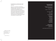the capitalist present – leveraging corporate-cultural branding, climate destruction and consumer culture against itself.

These spaces of a collapsed time compounded by a hallucinatory moment in which the affective background of 'legislated nostalgia'24 reigns supreme – making use of the cybergothic tendencies already present in contemporary culture. While Ward's work often manifests itself in explicitly violent, negative figures, hers is in fact a project of empowerment and emancipation – a method of positive temporal infection and a recuperation of the death drive we began with. It is only through these encounters that we can stop romanticising life as it stubbornly exists (across all temporal modes) and instead 'wish a happy death' on the calcified political forms and no-good solutions of contemporary capital.25

<sup>24</sup>*Definition: To force a body of people to have memories they do not actually possess. Coupland, Generation X: Tales for an Accelerated Culture (1991)*

25 *Culp, Dark Deleuze, 13* 

## Think And Pray For Me by Rosie Grace Ward

Published on the occasion of an exhibition of the same title at Camberwell Space

28 August - 7 September 2018

**Text** Planned Obsolescence ©Jack Clarke

## Cover Image

©Rosie Grace Ward

## With thanks to

Jack Clarke Ruth Pilston Joe Thornalley Fred Hunt Phoebe Ward Iona Dugdale Daisy McMullan Isobel Finlay Jonathan Shaw

## Camberwell Space

Camberwell College of Arts Peckham Road London SE<sub>5</sub> 8UF

camberwellspace@camberwell.arts.ac.uk